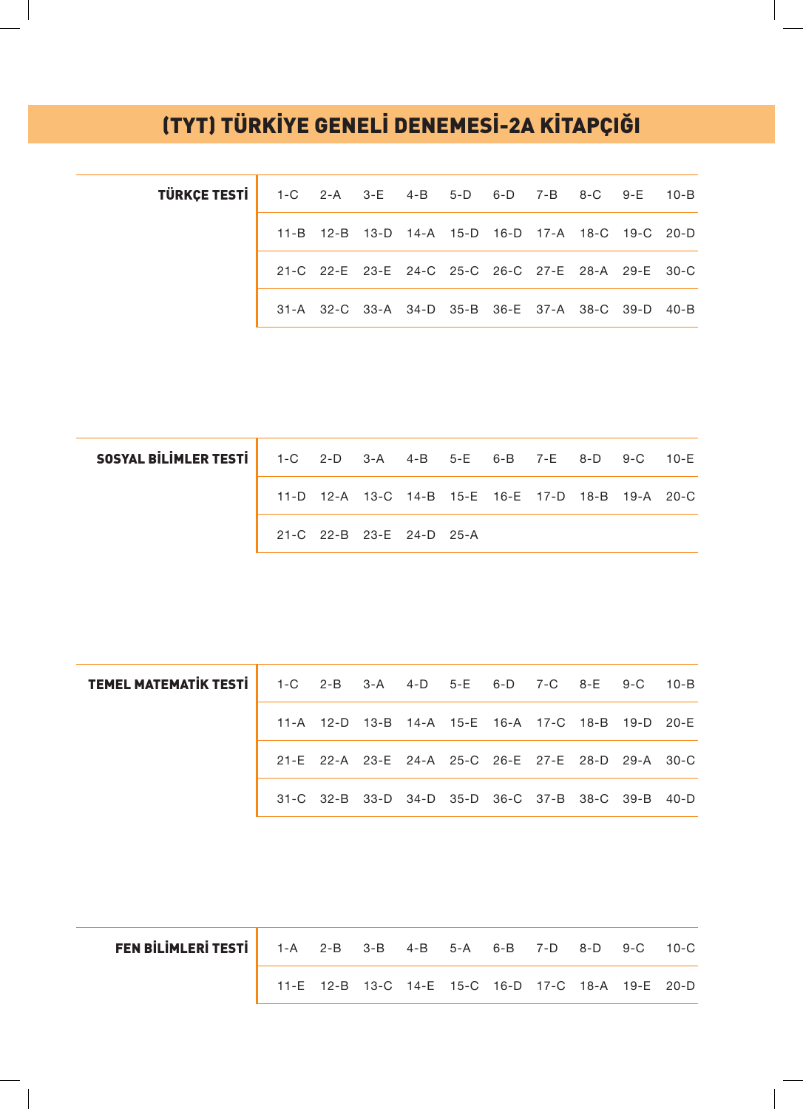## (TYT) TÜRKİYE GENELİ DENEMESİ-2A KİTAPÇIĞI

| <b>TÜRKÇE TESTİ</b> 1-C 2-A 3-E 4-B 5-D 6-D 7-B 8-C 9-E 10-B |  |  |  |                                                   |  |
|--------------------------------------------------------------|--|--|--|---------------------------------------------------|--|
|                                                              |  |  |  | 11-B 12-B 13-D 14-A 15-D 16-D 17-A 18-C 19-C 20-D |  |
|                                                              |  |  |  | 21-C 22-E 23-E 24-C 25-C 26-C 27-E 28-A 29-E 30-C |  |
|                                                              |  |  |  | 31-A 32-C 33-A 34-D 35-B 36-E 37-A 38-C 39-D 40-B |  |

| <b>SOSYAL BILIMLER TESTI</b> 1-C 2-D 3-A 4-B 5-E 6-B 7-E 8-D 9-C 10-E |                          |  |  |  |                                                   |  |
|-----------------------------------------------------------------------|--------------------------|--|--|--|---------------------------------------------------|--|
|                                                                       |                          |  |  |  | 11-D 12-A 13-C 14-B 15-E 16-E 17-D 18-B 19-A 20-C |  |
|                                                                       | 21-C 22-B 23-E 24-D 25-A |  |  |  |                                                   |  |

| <b>TEMEL MATEMATIK TESTI</b> 1-C 2-B 3-A 4-D 5-E 6-D 7-C 8-E 9-C 10-B |  |  |  |  |                                                   |  |
|-----------------------------------------------------------------------|--|--|--|--|---------------------------------------------------|--|
|                                                                       |  |  |  |  | 11-A 12-D 13-B 14-A 15-E 16-A 17-C 18-B 19-D 20-E |  |
|                                                                       |  |  |  |  | 21-E 22-A 23-E 24-A 25-C 26-E 27-E 28-D 29-A 30-C |  |
|                                                                       |  |  |  |  | 31-C 32-B 33-D 34-D 35-D 36-C 37-B 38-C 39-B 40-D |  |

| <b>FEN BILIMLERI TESTI</b> 1-A 2-B 3-B 4-B 5-A 6-B 7-D 8-D 9-C 10-C |                                                   |  |  |  |  |  |
|---------------------------------------------------------------------|---------------------------------------------------|--|--|--|--|--|
|                                                                     | 11-E 12-B 13-C 14-E 15-C 16-D 17-C 18-A 19-E 20-D |  |  |  |  |  |